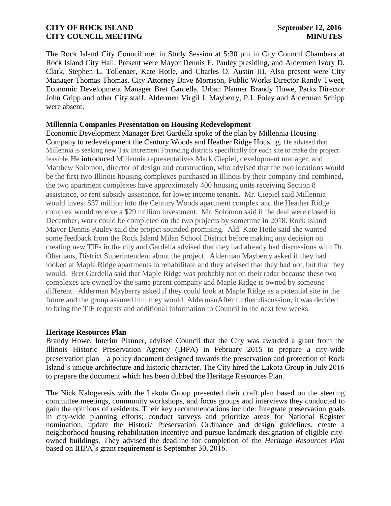The Rock Island City Council met in Study Session at 5:30 pm in City Council Chambers at Rock Island City Hall. Present were Mayor Dennis E. Pauley presiding, and Aldermen Ivory D. Clark, Stephen L. Tollenaer, Kate Hotle, and Charles O. Austin III. Also present were City Manager Thomas Thomas, City Attorney Dave Morrison, Public Works Director Randy Tweet, Economic Development Manager Bret Gardella, Urban Planner Brandy Howe, Parks Director John Gripp and other City staff. Aldermen Virgil J. Mayberry, P.J. Foley and Alderman Schipp were absent.

## **Millennia Companies Presentation on Housing Redevelopment**

Economic Development Manager Bret Gardella spoke of the plan by Millennia Housing Company to redevelopment the Century Woods and Heather Ridge Housing. He advised that Millennia is seeking new Tax Increment Financing districts specifically for each site to make the project feasible. He introduced Millennia representatives Mark Ciepiel, development manager, and Matthew Solomon, director of design and construction, who advised that the two locations would be the first two Illinois housing complexes purchased in Illinois by their company and combined, the two apartment complexes have approximately 400 housing units receiving Section 8 assistance, or rent subsidy assistance, for lower income tenants. Mr. Ciepiel said Millennia would invest \$37 million into the Century Woods apartment complex and the Heather Ridge complex would receive a \$29 million investment. Mr. Solomon said if the deal were closed in December, work could be completed on the two projects by sometime in 2018. Rock Island Mayor Dennis Pauley said the project sounded promising. Ald. Kate Hotle said she wanted some feedback from the Rock Island Milan School District before making any decision on creating new TIFs in the city and Gardella advised that they had already had discussions with Dr. Oberhaus, District Superintendent about the project. Alderman Mayberry asked if they had looked at Maple Ridge apartments to rehabilitate and they advised that they had not, but that they would. Bret Gardella said that Maple Ridge was probably not on their radar because these two complexes are owned by the same parent company and Maple Ridge is owned by someone different. Alderman Mayberry asked if they could look at Maple Ridge as a potential site in the future and the group assured him they would. AldermanAfter further discussion, it was decided to bring the TIF requests and additional information to Council in the next few weeks.

### **Heritage Resources Plan**

Brandy Howe, Interim Planner, advised Council that the City was awarded a grant from the Illinois Historic Preservation Agency (IHPA) in February 2015 to prepare a city-wide preservation plan—a policy document designed towards the preservation and protection of Rock Island's unique architecture and historic character. The City hired the Lakota Group in July 2016 to prepare the document which has been dubbed the Heritage Resources Plan.

The Nick Kalogeresis with the Lakota Group presented their draft plan based on the steering committee meetings, community workshops, and focus groups and interviews they conducted to gain the opinions of residents. Their key recommendations include: Integrate preservation goals in city-wide planning efforts; conduct surveys and prioritize areas for National Register nomination; update the Historic Preservation Ordinance and design guidelines, create a neighborhood housing rehabilitation incentive and pursue landmark designation of eligible cityowned buildings. They advised the deadline for completion of the *Heritage Resources Plan* based on IHPA's grant requirement is September 30, 2016.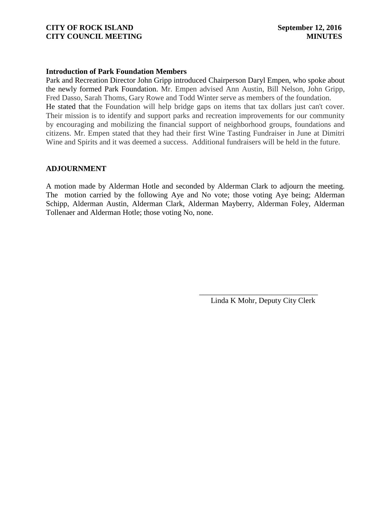### **Introduction of Park Foundation Members**

Park and Recreation Director John Gripp introduced Chairperson Daryl Empen, who spoke about the newly formed Park Foundation. Mr. Empen advised Ann Austin, Bill Nelson, John Gripp, Fred Dasso, Sarah Thoms, Gary Rowe and Todd Winter serve as members of the foundation. He stated that the Foundation will help bridge gaps on items that tax dollars just can't cover. Their mission is to identify and support parks and recreation improvements for our community by encouraging and mobilizing the financial support of neighborhood groups, foundations and citizens. Mr. Empen stated that they had their first Wine Tasting Fundraiser in June at Dimitri Wine and Spirits and it was deemed a success. Additional fundraisers will be held in the future.

### **ADJOURNMENT**

A motion made by Alderman Hotle and seconded by Alderman Clark to adjourn the meeting. The motion carried by the following Aye and No vote; those voting Aye being; Alderman Schipp, Alderman Austin, Alderman Clark, Alderman Mayberry, Alderman Foley, Alderman Tollenaer and Alderman Hotle; those voting No, none.

 $\overline{\phantom{a}}$  , and the contract of the contract of the contract of the contract of the contract of the contract of the contract of the contract of the contract of the contract of the contract of the contract of the contrac

Linda K Mohr, Deputy City Clerk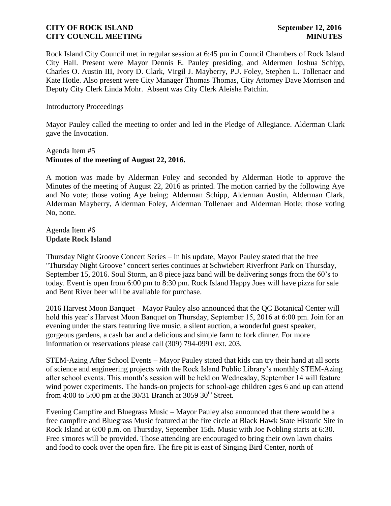Rock Island City Council met in regular session at 6:45 pm in Council Chambers of Rock Island City Hall. Present were Mayor Dennis E. Pauley presiding, and Aldermen Joshua Schipp, Charles O. Austin III, Ivory D. Clark, Virgil J. Mayberry, P.J. Foley, Stephen L. Tollenaer and Kate Hotle. Also present were City Manager Thomas Thomas, City Attorney Dave Morrison and Deputy City Clerk Linda Mohr. Absent was City Clerk Aleisha Patchin.

Introductory Proceedings

Mayor Pauley called the meeting to order and led in the Pledge of Allegiance. Alderman Clark gave the Invocation.

# Agenda Item #5 **Minutes of the meeting of August 22, 2016.**

A motion was made by Alderman Foley and seconded by Alderman Hotle to approve the Minutes of the meeting of August 22, 2016 as printed. The motion carried by the following Aye and No vote; those voting Aye being; Alderman Schipp, Alderman Austin, Alderman Clark, Alderman Mayberry, Alderman Foley, Alderman Tollenaer and Alderman Hotle; those voting No, none.

Agenda Item #6 **Update Rock Island** 

Thursday Night Groove Concert Series – In his update, Mayor Pauley stated that the free "Thursday Night Groove" concert series continues at Schwiebert Riverfront Park on Thursday, September 15, 2016. Soul Storm, an 8 piece jazz band will be delivering songs from the 60's to today. Event is open from 6:00 pm to 8:30 pm. Rock Island Happy Joes will have pizza for sale and Bent River beer will be available for purchase.

2016 Harvest Moon Banquet – Mayor Pauley also announced that the QC Botanical Center will hold this year's Harvest Moon Banquet on Thursday, September 15, 2016 at 6:00 pm. Join for an evening under the stars featuring live music, a silent auction, a wonderful guest speaker, gorgeous gardens, a cash bar and a delicious and simple farm to fork dinner. For more information or reservations please call (309) 794-0991 ext. 203.

STEM-Azing After School Events – Mayor Pauley stated that kids can try their hand at all sorts of science and engineering projects with the Rock Island Public Library's monthly STEM-Azing after school events. This month's session will be held on Wednesday, September 14 will feature wind power experiments. The hands-on projects for school-age children ages 6 and up can attend from 4:00 to 5:00 pm at the  $30/31$  Branch at  $3059$   $30<sup>th</sup>$  Street.

Evening Campfire and Bluegrass Music – Mayor Pauley also announced that there would be a free campfire and Bluegrass Music featured at the fire circle at Black Hawk State Historic Site in Rock Island at 6:00 p.m. on Thursday, September 15th. Music with Joe Nobling starts at 6:30. Free s'mores will be provided. Those attending are encouraged to bring their own lawn chairs and food to cook over the open fire. The fire pit is east of Singing Bird Center, north of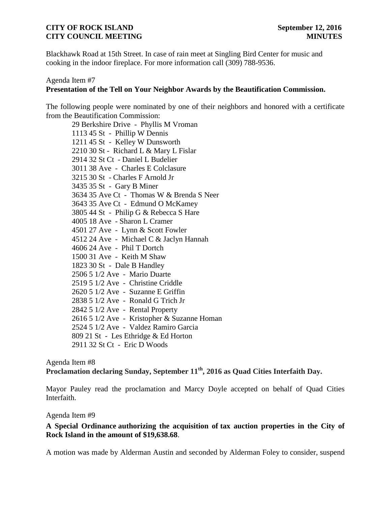Blackhawk Road at 15th Street. In case of rain meet at Singling Bird Center for music and cooking in the indoor fireplace. For more information call (309) 788-9536.

# Agenda Item #7 **Presentation of the Tell on Your Neighbor Awards by the Beautification Commission.**

The following people were nominated by one of their neighbors and honored with a certificate from the Beautification Commission:

 Berkshire Drive - Phyllis M Vroman 45 St - Phillip W Dennis 45 St - Kelley W Dunsworth 30 St - Richard L & Mary L Fislar 32 St Ct - Daniel L Budelier 38 Ave - Charles E Colclasure 30 St - Charles F Arnold Jr 35 St - Gary B Miner 35 Ave Ct - Thomas W & Brenda S Neer 35 Ave Ct - Edmund O McKamey 44 St - Philip G & Rebecca S Hare 18 Ave - Sharon L Cramer 27 Ave - Lynn & Scott Fowler 24 Ave - Michael C & Jaclyn Hannah 24 Ave - Phil T Dortch 31 Ave - Keith M Shaw 30 St - Dale B Handley 5 1/2 Ave - Mario Duarte 5 1/2 Ave - Christine Criddle 5 1/2 Ave - Suzanne E Griffin 5 1/2 Ave - Ronald G Trich Jr 5 1/2 Ave - Rental Property 5 1/2 Ave - Kristopher & Suzanne Homan 5 1/2 Ave - Valdez Ramiro Garcia 21 St - Les Ethridge & Ed Horton 32 St Ct - Eric D Woods

Agenda Item #8 **Proclamation declaring Sunday, September 11th, 2016 as Quad Cities Interfaith Day.**

Mayor Pauley read the proclamation and Marcy Doyle accepted on behalf of Quad Cities Interfaith.

Agenda Item #9

## **A Special Ordinance authorizing the acquisition of [tax auction properties in the City of](http://www.rigov.org/DocumentCenter/View/10114)  Rock Island [in the amount of \\$19,638.68](http://www.rigov.org/DocumentCenter/View/10114)**.

A motion was made by Alderman Austin and seconded by Alderman Foley to consider, suspend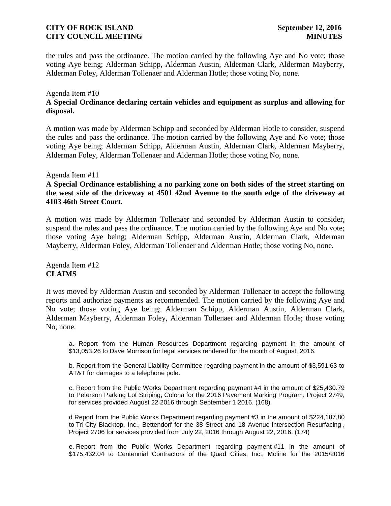the rules and pass the ordinance. The motion carried by the following Aye and No vote; those voting Aye being; Alderman Schipp, Alderman Austin, Alderman Clark, Alderman Mayberry, Alderman Foley, Alderman Tollenaer and Alderman Hotle; those voting No, none.

## Agenda Item #10

# **A Special Ordinance declaring [certain vehicles and equipment](http://www.rigov.org/DocumentCenter/View/10113) as surplus and allowing for [disposal.](http://www.rigov.org/DocumentCenter/View/10113)**

A motion was made by Alderman Schipp and seconded by Alderman Hotle to consider, suspend the rules and pass the ordinance. The motion carried by the following Aye and No vote; those voting Aye being; Alderman Schipp, Alderman Austin, Alderman Clark, Alderman Mayberry, Alderman Foley, Alderman Tollenaer and Alderman Hotle; those voting No, none.

### Agenda Item #11

**[A Special Ordinance establishing a no parking zone on both sides of the street starting on](http://www.rigov.org/DocumentCenter/View/10115)  the [west side of the driveway at 4501 42nd Avenue to the south edge of the driveway at](http://www.rigov.org/DocumentCenter/View/10115)  [4103 46th Street Court.](http://www.rigov.org/DocumentCenter/View/10115)**

A motion was made by Alderman Tollenaer and seconded by Alderman Austin to consider, suspend the rules and pass the ordinance. The motion carried by the following Aye and No vote; those voting Aye being; Alderman Schipp, Alderman Austin, Alderman Clark, Alderman Mayberry, Alderman Foley, Alderman Tollenaer and Alderman Hotle; those voting No, none.

Agenda Item #12 **CLAIMS**

It was moved by Alderman Austin and seconded by Alderman Tollenaer to accept the following reports and authorize payments as recommended. The motion carried by the following Aye and No vote; those voting Aye being; Alderman Schipp, Alderman Austin, Alderman Clark, Alderman Mayberry, Alderman Foley, Alderman Tollenaer and Alderman Hotle; those voting No, none.

a. [Report from the Human Resources Department regarding payment in the amount of](http://www.rigov.org/DocumentCenter/View/10097)  [\\$13,053.26 to Dave Morrison for legal services rendered for the month of August, 2016.](http://www.rigov.org/DocumentCenter/View/10097)

[b. Report from the General Liability Committee regarding payment in the amount of \\$3,591.63 to](http://www.rigov.org/DocumentCenter/View/10098)  AT&T for [damages to a telephone pole.](http://www.rigov.org/DocumentCenter/View/10098)

[c. Report from the Public Works Department regarding payment](http://www.rigov.org/DocumentCenter/View/10099) #4 in the amount of \$25,430.79 [to Peterson Parking Lot Striping,](http://www.rigov.org/DocumentCenter/View/10099) Colona for the 2016 Pavement Marking Program, Project 2749, [for services provided August 22 2016 through September 1 2016. \(168\)](http://www.rigov.org/DocumentCenter/View/10099)

[d Report from the Public Works Department regarding payment #3 in the amount of \\$224,187.80](http://www.rigov.org/DocumentCenter/View/10096)  to Tri [City Blacktop, Inc., Bettendorf for the 38 Street and 18 Avenue](http://www.rigov.org/DocumentCenter/View/10096) Intersection Resurfacing , [Project 2706 for services provided from July 22, 2016 through August 22, 2016. \(174\)](http://www.rigov.org/DocumentCenter/View/10096)

e. [Report from the Public Works Department regarding payment](http://www.rigov.org/DocumentCenter/View/10100) #11 in the amount of [\\$175,432.04 to Centennial Contractors of the Quad Cities, Inc., Moline for the 2015/2016](http://www.rigov.org/DocumentCenter/View/10100)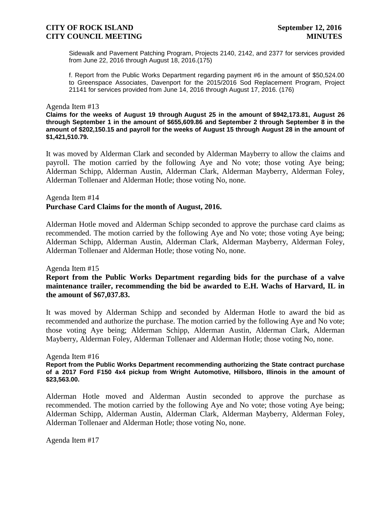Sidewalk and Pavement Patching Program, Projects 2140, 2142, and 2377 for services provided from June 22, 2016 through August 18, 2016.(175)

[f. Report from the Public Works Department regarding payment #6 in the amount of \\$50,524.00](http://www.rigov.org/DocumentCenter/View/10101)  [to Greenspace Associates, Davenport for the 2015/2016 Sod Replacement Program, Project](http://www.rigov.org/DocumentCenter/View/10101)  [21141 for services provided from June 14, 2016 through August 17, 2016. \(176\)](http://www.rigov.org/DocumentCenter/View/10101) 

### Agenda Item #13

**[Claims for the weeks of August 19 through](http://www.rigov.org/DocumentCenter/View/10109) August 25 in the amount of \$942,173.81, [August 26](http://www.rigov.org/DocumentCenter/View/10110)  [through September 1 in the amount of \\$655,609.86 a](http://www.rigov.org/DocumentCenter/View/10110)nd [September 2 through September 8 in the](http://www.rigov.org/DocumentCenter/View/10111)  [amount of \\$202,150.15 and payroll for the weeks of August 15 through August 28 in the amount of](http://www.rigov.org/DocumentCenter/View/10111)  [\\$1,421,510.79.](http://www.rigov.org/DocumentCenter/View/10111)**

It was moved by Alderman Clark and seconded by Alderman Mayberry to allow the claims and payroll. The motion carried by the following Aye and No vote; those voting Aye being; Alderman Schipp, Alderman Austin, Alderman Clark, Alderman Mayberry, Alderman Foley, Alderman Tollenaer and Alderman Hotle; those voting No, none.

### Agenda Item #14 **Purchase Card Claims for the month of August, 2016.**

Alderman Hotle moved and Alderman Schipp seconded to approve the purchase card claims as recommended. The motion carried by the following Aye and No vote; those voting Aye being; Alderman Schipp, Alderman Austin, Alderman Clark, Alderman Mayberry, Alderman Foley, Alderman Tollenaer and Alderman Hotle; those voting No, none.

### Agenda Item #15

**[Report from the Public Works Department regarding bids for the purchase of a valve](http://www.rigov.org/DocumentCenter/View/10091)  [maintenance trailer, recommending the bid be awarded to E.H. Wachs of Harvard, IL in](http://www.rigov.org/DocumentCenter/View/10091)  [the amount of \\$67,037.83.](http://www.rigov.org/DocumentCenter/View/10091)**

It was moved by Alderman Schipp and seconded by Alderman Hotle to award the bid as recommended and authorize the purchase. The motion carried by the following Aye and No vote; those voting Aye being; Alderman Schipp, Alderman Austin, Alderman Clark, Alderman Mayberry, Alderman Foley, Alderman Tollenaer and Alderman Hotle; those voting No, none.

#### Agenda Item #16

**Report from the [Public Works Department recommending](http://www.rigov.org/DocumentCenter/View/10093) authorizing the State contract purchase [of a 2017 Ford F150 4x4 pickup from Wright Automotive, Hillsboro, Illinois in the amount of](http://www.rigov.org/DocumentCenter/View/10093)  [\\$23,563.00.](http://www.rigov.org/DocumentCenter/View/10093)**

Alderman Hotle moved and Alderman Austin seconded to approve the purchase as recommended. The motion carried by the following Aye and No vote; those voting Aye being; Alderman Schipp, Alderman Austin, Alderman Clark, Alderman Mayberry, Alderman Foley, Alderman Tollenaer and Alderman Hotle; those voting No, none.

Agenda Item #17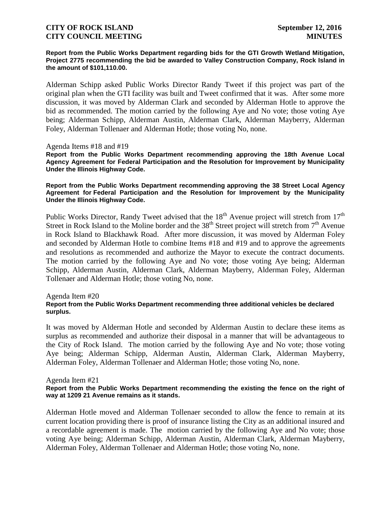#### **Report from the Public Works Department regarding bids for the GTI Growth Wetland Mitigation, Project 2775 recommending the bid be awarded to Valley Construction Company, Rock Island in the amount of \$101,110.00.**

Alderman Schipp asked Public Works Director Randy Tweet if this project was part of the original plan when the GTI facility was built and Tweet confirmed that it was. After some more discussion, it was moved by Alderman Clark and seconded by Alderman Hotle to approve the bid as recommended. The motion carried by the following Aye and No vote; those voting Aye being; Alderman Schipp, Alderman Austin, Alderman Clark, Alderman Mayberry, Alderman Foley, Alderman Tollenaer and Alderman Hotle; those voting No, none.

### Agenda Items #18 and #19

**[Report from the Public Works Department recommending approving the 18th Avenue Local](http://www.rigov.org/DocumentCenter/View/10102)  [Agency Agreement for Federal Participation and the Resolution for Improvement by Municipality](http://www.rigov.org/DocumentCenter/View/10102)  [Under the Illinois Highway Code.](http://www.rigov.org/DocumentCenter/View/10102)**

### **[Report from the Public Works Department recommending](http://www.rigov.org/DocumentCenter/View/10103) approving the 38 Street Local Agency Agreement for [Federal Participation and the Resolution for Improvement by the Municipality](http://www.rigov.org/DocumentCenter/View/10103)  [Under the Illinois Highway Code.](http://www.rigov.org/DocumentCenter/View/10103)**

Public Works Director, Randy Tweet advised that the  $18<sup>th</sup>$  Avenue project will stretch from  $17<sup>th</sup>$ Street in Rock Island to the Moline border and the 38<sup>th</sup> Street project will stretch from 7<sup>th</sup> Avenue in Rock Island to Blackhawk Road. After more discussion, it was moved by Alderman Foley and seconded by Alderman Hotle to combine Items #18 and #19 and to approve the agreements and resolutions as recommended and authorize the Mayor to execute the contract documents. The motion carried by the following Aye and No vote; those voting Aye being; Alderman Schipp, Alderman Austin, Alderman Clark, Alderman Mayberry, Alderman Foley, Alderman Tollenaer and Alderman Hotle; those voting No, none.

#### Agenda Item #20

### **[Report from the Public Works Department recommending three additional vehicles be declared](http://www.rigov.org/DocumentCenter/View/10120)  [surplus.](http://www.rigov.org/DocumentCenter/View/10120)**

It was moved by Alderman Hotle and seconded by Alderman Austin to declare these items as surplus as recommended and authorize their disposal in a manner that will be advantageous to the City of Rock Island. The motion carried by the following Aye and No vote; those voting Aye being; Alderman Schipp, Alderman Austin, Alderman Clark, Alderman Mayberry, Alderman Foley, Alderman Tollenaer and Alderman Hotle; those voting No, none.

#### Agenda Item #21

### **[Report from the Public Works Department recommending the existing the fence on the right of](http://www.rigov.org/DocumentCenter/View/10119)  [way at 1209 21 Avenue remains as it stands.](http://www.rigov.org/DocumentCenter/View/10119)**

Alderman Hotle moved and Alderman Tollenaer seconded to allow the fence to remain at its current location providing there is proof of insurance listing the City as an additional insured and a recordable agreement is made. The motion carried by the following Aye and No vote; those voting Aye being; Alderman Schipp, Alderman Austin, Alderman Clark, Alderman Mayberry, Alderman Foley, Alderman Tollenaer and Alderman Hotle; those voting No, none.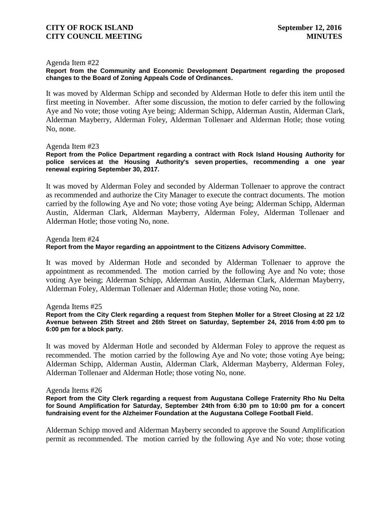### Agenda Item #22

**[Report from the Community and Economic Development Department regarding the proposed](http://www.rigov.org/DocumentCenter/View/10095)  [changes to the Board of Zoning Appeals Code of Ordinances.](http://www.rigov.org/DocumentCenter/View/10095)**

It was moved by Alderman Schipp and seconded by Alderman Hotle to defer this item until the first meeting in November. After some discussion, the motion to defer carried by the following Aye and No vote; those voting Aye being; Alderman Schipp, Alderman Austin, Alderman Clark, Alderman Mayberry, Alderman Foley, Alderman Tollenaer and Alderman Hotle; those voting No, none.

### Agenda Item #23

**Report from the Police Department regarding [a contract with Rock Island Housing Authority for](http://www.rigov.org/DocumentCenter/View/10104)  police services at the Housing Authority's seven [properties, recommending a one year](http://www.rigov.org/DocumentCenter/View/10104)  renewal [expiring September 30, 2017.](http://www.rigov.org/DocumentCenter/View/10104)** 

It was moved by Alderman Foley and seconded by Alderman Tollenaer to approve the contract as recommended and authorize the City Manager to execute the contract documents. The motion carried by the following Aye and No vote; those voting Aye being; Alderman Schipp, Alderman Austin, Alderman Clark, Alderman Mayberry, Alderman Foley, Alderman Tollenaer and Alderman Hotle; those voting No, none.

Agenda Item #24

### **Report from the Mayor regarding [an appointment to the Citizens Advisory Committee.](http://www.rigov.org/DocumentCenter/View/10094)**

It was moved by Alderman Hotle and seconded by Alderman Tollenaer to approve the appointment as recommended. The motion carried by the following Aye and No vote; those voting Aye being; Alderman Schipp, Alderman Austin, Alderman Clark, Alderman Mayberry, Alderman Foley, Alderman Tollenaer and Alderman Hotle; those voting No, none.

Agenda Items #25

**[Report from the City Clerk regarding a request from Stephen Moller for a Street Closing at 22 1/2](http://www.rigov.org/DocumentCenter/View/10107)  [Avenue between 25th Street and 26th Street on Saturday, September 24, 2016](http://www.rigov.org/DocumentCenter/View/10107) from 4:00 pm to 6:00 pm [for a block party.](http://www.rigov.org/DocumentCenter/View/10107)**

It was moved by Alderman Hotle and seconded by Alderman Foley to approve the request as recommended. The motion carried by the following Aye and No vote; those voting Aye being; Alderman Schipp, Alderman Austin, Alderman Clark, Alderman Mayberry, Alderman Foley, Alderman Tollenaer and Alderman Hotle; those voting No, none.

#### Agenda Items #26

**Report from the City Clerk regarding a [request from Augustana College Fraternity Rho Nu Delta](http://www.rigov.org/DocumentCenter/View/10106)  for Sound Amplification for Saturday, September 24th [from 6:30 pm to 10:00 pm for a concert](http://www.rigov.org/DocumentCenter/View/10106)  [fundraising event for the Alzheimer Foundation at the Augustana College Football Field.](http://www.rigov.org/DocumentCenter/View/10106)**

Alderman Schipp moved and Alderman Mayberry seconded to approve the Sound Amplification permit as recommended. The motion carried by the following Aye and No vote; those voting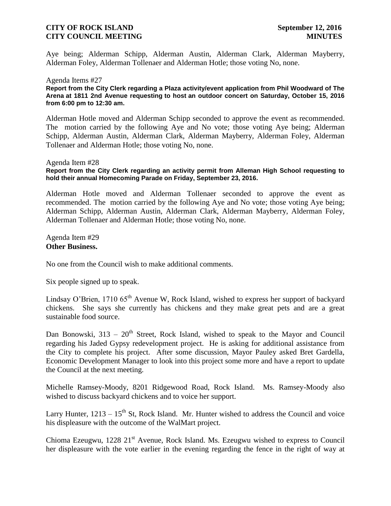Aye being; Alderman Schipp, Alderman Austin, Alderman Clark, Alderman Mayberry, Alderman Foley, Alderman Tollenaer and Alderman Hotle; those voting No, none.

### Agenda Items #27

**[Report from the City Clerk regarding a Plaza activity/event application from Phil Woodward of The](http://www.rigov.org/DocumentCenter/View/10108)  Arena at 1811 2nd Avenue requesting to host [an outdoor concert on Saturday, October 15, 2016](http://www.rigov.org/DocumentCenter/View/10108)  [from 6:00 pm to 12:30 am.](http://www.rigov.org/DocumentCenter/View/10108)**

Alderman Hotle moved and Alderman Schipp seconded to approve the event as recommended. The motion carried by the following Aye and No vote; those voting Aye being; Alderman Schipp, Alderman Austin, Alderman Clark, Alderman Mayberry, Alderman Foley, Alderman Tollenaer and Alderman Hotle; those voting No, none.

#### Agenda Item #28

### **[Report from the City Clerk regarding an activity permit from Alleman High School requesting to](http://www.rigov.org/DocumentCenter/View/10122)  [hold their annual Homecoming Parade on Friday, September 23, 2016.](http://www.rigov.org/DocumentCenter/View/10122)**

Alderman Hotle moved and Alderman Tollenaer seconded to approve the event as recommended. The motion carried by the following Aye and No vote; those voting Aye being; Alderman Schipp, Alderman Austin, Alderman Clark, Alderman Mayberry, Alderman Foley, Alderman Tollenaer and Alderman Hotle; those voting No, none.

Agenda Item #29 **Other Business.**

No one from the Council wish to make additional comments.

Six people signed up to speak.

Lindsay O'Brien, 1710  $65<sup>th</sup>$  Avenue W, Rock Island, wished to express her support of backyard chickens. She says she currently has chickens and they make great pets and are a great sustainable food source.

Dan Bonowski,  $313 - 20<sup>th</sup>$  Street, Rock Island, wished to speak to the Mayor and Council regarding his Jaded Gypsy redevelopment project. He is asking for additional assistance from the City to complete his project. After some discussion, Mayor Pauley asked Bret Gardella, Economic Development Manager to look into this project some more and have a report to update the Council at the next meeting.

Michelle Ramsey-Moody, 8201 Ridgewood Road, Rock Island. Ms. Ramsey-Moody also wished to discuss backyard chickens and to voice her support.

Larry Hunter,  $1213 - 15$ <sup>th</sup> St, Rock Island. Mr. Hunter wished to address the Council and voice his displeasure with the outcome of the WalMart project.

Chioma Ezeugwu, 1228 21<sup>st</sup> Avenue, Rock Island. Ms. Ezeugwu wished to express to Council her displeasure with the vote earlier in the evening regarding the fence in the right of way at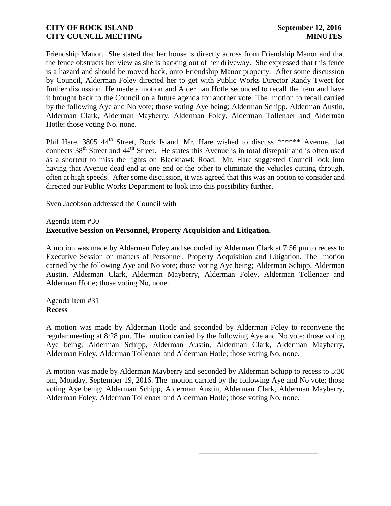Friendship Manor. She stated that her house is directly across from Friendship Manor and that the fence obstructs her view as she is backing out of her driveway. She expressed that this fence is a hazard and should be moved back, onto Friendship Manor property. After some discussion by Council, Alderman Foley directed her to get with Public Works Director Randy Tweet for further discussion. He made a motion and Alderman Hotle seconded to recall the item and have it brought back to the Council on a future agenda for another vote. The motion to recall carried by the following Aye and No vote; those voting Aye being; Alderman Schipp, Alderman Austin, Alderman Clark, Alderman Mayberry, Alderman Foley, Alderman Tollenaer and Alderman Hotle; those voting No, none.

Phil Hare, 3805 44<sup>th</sup> Street, Rock Island. Mr. Hare wished to discuss \*\*\*\*\*\* Avenue, that connects 38<sup>th</sup> Street and 44<sup>th</sup> Street. He states this Avenue is in total disrepair and is often used as a shortcut to miss the lights on Blackhawk Road. Mr. Hare suggested Council look into having that Avenue dead end at one end or the other to eliminate the vehicles cutting through, often at high speeds. After some discussion, it was agreed that this was an option to consider and directed our Public Works Department to look into this possibility further.

Sven Jacobson addressed the Council with

# Agenda Item #30 **Executive Session on Personnel, Property Acquisition and Litigation.**

A motion was made by Alderman Foley and seconded by Alderman Clark at 7:56 pm to recess to Executive Session on matters of Personnel, Property Acquisition and Litigation. The motion carried by the following Aye and No vote; those voting Aye being; Alderman Schipp, Alderman Austin, Alderman Clark, Alderman Mayberry, Alderman Foley, Alderman Tollenaer and Alderman Hotle; those voting No, none.

Agenda Item #31 **Recess**

A motion was made by Alderman Hotle and seconded by Alderman Foley to reconvene the regular meeting at 8:28 pm. The motion carried by the following Aye and No vote; those voting Aye being; Alderman Schipp, Alderman Austin, Alderman Clark, Alderman Mayberry, Alderman Foley, Alderman Tollenaer and Alderman Hotle; those voting No, none.

A motion was made by Alderman Mayberry and seconded by Alderman Schipp to recess to 5:30 pm, Monday, September 19, 2016. The motion carried by the following Aye and No vote; those voting Aye being; Alderman Schipp, Alderman Austin, Alderman Clark, Alderman Mayberry, Alderman Foley, Alderman Tollenaer and Alderman Hotle; those voting No, none.

 $\overline{\phantom{a}}$  , and the contract of the contract of the contract of the contract of the contract of the contract of the contract of the contract of the contract of the contract of the contract of the contract of the contrac